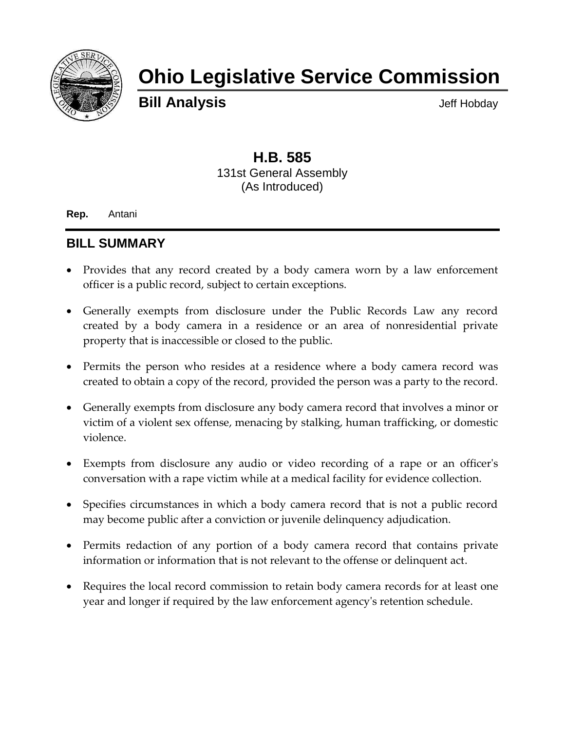

# **Ohio Legislative Service Commission**

**Bill Analysis Bill Analysis** 

## **H.B. 585** 131st General Assembly (As Introduced)

**Rep.** Antani

### **BILL SUMMARY**

- Provides that any record created by a body camera worn by a law enforcement officer is a public record, subject to certain exceptions.
- Generally exempts from disclosure under the Public Records Law any record created by a body camera in a residence or an area of nonresidential private property that is inaccessible or closed to the public.
- Permits the person who resides at a residence where a body camera record was created to obtain a copy of the record, provided the person was a party to the record.
- Generally exempts from disclosure any body camera record that involves a minor or victim of a violent sex offense, menacing by stalking, human trafficking, or domestic violence.
- Exempts from disclosure any audio or video recording of a rape or an officer's conversation with a rape victim while at a medical facility for evidence collection.
- Specifies circumstances in which a body camera record that is not a public record may become public after a conviction or juvenile delinquency adjudication.
- Permits redaction of any portion of a body camera record that contains private information or information that is not relevant to the offense or delinquent act.
- Requires the local record commission to retain body camera records for at least one year and longer if required by the law enforcement agency's retention schedule.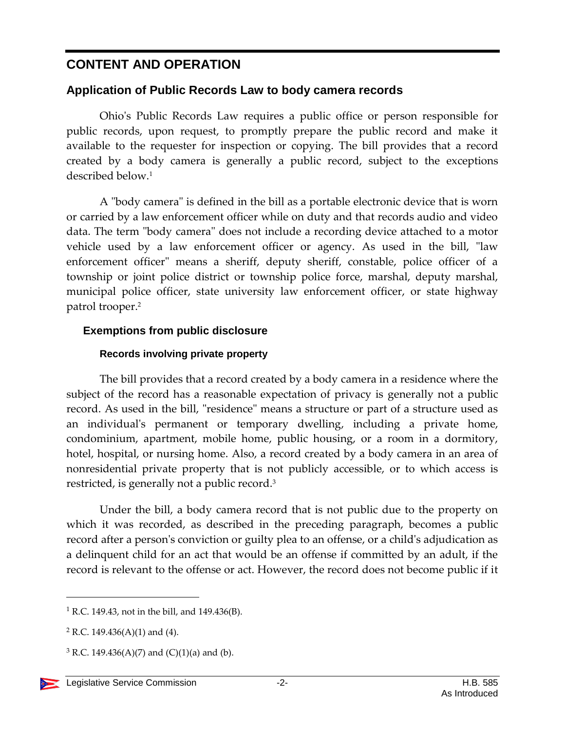# **CONTENT AND OPERATION**

#### **Application of Public Records Law to body camera records**

Ohio's Public Records Law requires a public office or person responsible for public records, upon request, to promptly prepare the public record and make it available to the requester for inspection or copying. The bill provides that a record created by a body camera is generally a public record, subject to the exceptions described below. 1

A "body camera" is defined in the bill as a portable electronic device that is worn or carried by a law enforcement officer while on duty and that records audio and video data. The term "body camera" does not include a recording device attached to a motor vehicle used by a law enforcement officer or agency. As used in the bill, "law enforcement officer" means a sheriff, deputy sheriff, constable, police officer of a township or joint police district or township police force, marshal, deputy marshal, municipal police officer, state university law enforcement officer, or state highway patrol trooper.<sup>2</sup>

#### **Exemptions from public disclosure**

#### **Records involving private property**

The bill provides that a record created by a body camera in a residence where the subject of the record has a reasonable expectation of privacy is generally not a public record. As used in the bill, "residence" means a structure or part of a structure used as an individual's permanent or temporary dwelling, including a private home, condominium, apartment, mobile home, public housing, or a room in a dormitory, hotel, hospital, or nursing home. Also, a record created by a body camera in an area of nonresidential private property that is not publicly accessible, or to which access is restricted, is generally not a public record.<sup>3</sup>

Under the bill, a body camera record that is not public due to the property on which it was recorded, as described in the preceding paragraph, becomes a public record after a person's conviction or guilty plea to an offense, or a child's adjudication as a delinquent child for an act that would be an offense if committed by an adult, if the record is relevant to the offense or act. However, the record does not become public if it

l

<sup>&</sup>lt;sup>1</sup> R.C. 149.43, not in the bill, and 149.436(B).

 $2$  R.C. 149.436(A)(1) and (4).

 $3$  R.C. 149.436(A)(7) and (C)(1)(a) and (b).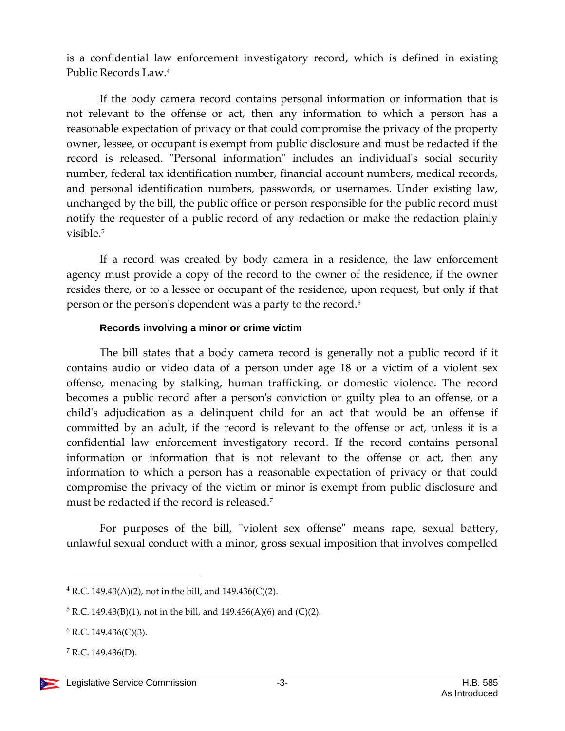is a confidential law enforcement investigatory record, which is defined in existing Public Records Law.<sup>4</sup>

If the body camera record contains personal information or information that is not relevant to the offense or act, then any information to which a person has a reasonable expectation of privacy or that could compromise the privacy of the property owner, lessee, or occupant is exempt from public disclosure and must be redacted if the record is released. "Personal information" includes an individual's social security number, federal tax identification number, financial account numbers, medical records, and personal identification numbers, passwords, or usernames. Under existing law, unchanged by the bill, the public office or person responsible for the public record must notify the requester of a public record of any redaction or make the redaction plainly visible  $5$ 

If a record was created by body camera in a residence, the law enforcement agency must provide a copy of the record to the owner of the residence, if the owner resides there, or to a lessee or occupant of the residence, upon request, but only if that person or the person's dependent was a party to the record.<sup>6</sup>

#### **Records involving a minor or crime victim**

The bill states that a body camera record is generally not a public record if it contains audio or video data of a person under age 18 or a victim of a violent sex offense, menacing by stalking, human trafficking, or domestic violence. The record becomes a public record after a person's conviction or guilty plea to an offense, or a child's adjudication as a delinquent child for an act that would be an offense if committed by an adult, if the record is relevant to the offense or act, unless it is a confidential law enforcement investigatory record. If the record contains personal information or information that is not relevant to the offense or act, then any information to which a person has a reasonable expectation of privacy or that could compromise the privacy of the victim or minor is exempt from public disclosure and must be redacted if the record is released.<sup>7</sup>

For purposes of the bill, "violent sex offense" means rape, sexual battery, unlawful sexual conduct with a minor, gross sexual imposition that involves compelled

 $\overline{a}$ 

 $4$  R.C. 149.43(A)(2), not in the bill, and 149.436(C)(2).

 $5$  R.C. 149.43(B)(1), not in the bill, and 149.436(A)(6) and (C)(2).

 $6$  R.C. 149.436(C)(3).

 $7$  R.C. 149.436(D).